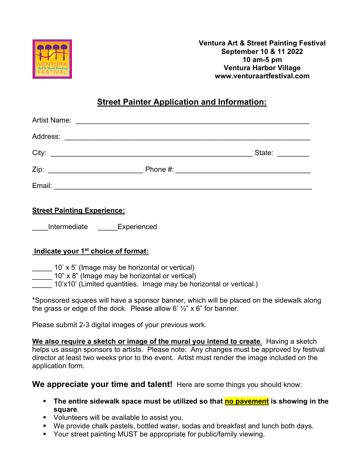

**Ventura Art & Street Painting Festival September 10 & 11 2022 10 am-5 pm Ventura Harbor Village www.venturaartfestival.com**

# **Street Painter Application and Information:**

|        | State: $\frac{1}{\sqrt{1-\frac{1}{2}}\sqrt{1-\frac{1}{2}}\sqrt{1-\frac{1}{2}}\sqrt{1-\frac{1}{2}}\sqrt{1-\frac{1}{2}}$ |
|--------|------------------------------------------------------------------------------------------------------------------------|
|        |                                                                                                                        |
| Email: |                                                                                                                        |

## **Street Painting Experience:**

Intermediate **Experienced** 

### **Indicate your 1st choice of format:**

- $10'$  x 5' (Image may be horizontal or vertical)
	- 10" x 8" (Image may be horizontal or vertical)
- 10'x10' (Limited quantities. Image may be horizontal or vertical.)

\*Sponsored squares will have a sponsor banner, which will be placed on the sidewalk along the grass or edge of the dock. Please allow 6'  $\frac{1}{2}$ " x 6" for banner.

Please submit 2-3 digital images of your previous work.

**We also require a sketch or image of the mural you intend to create**. Having a sketch helps us assign sponsors to artists. Please note: Any changes must be approved by festival director at least two weeks prior to the event. Artist must render the image included on the application form.

**We appreciate your time and talent!** Here are some things you should know:

- **EXTE:** The entire sidewalk space must be utilized so that **no pavement** is showing in the **square**.
- Volunteers will be available to assist you.
- We provide chalk pastels, bottled water, sodas and breakfast and lunch both days.
- § Your street painting MUST be appropriate for public/family viewing.